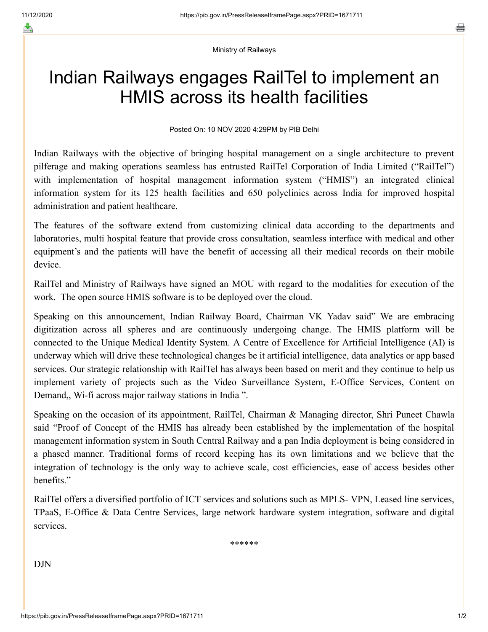≛

Ministry of Railways

## Indian Railways engages RailTel to implement an HMIS across its health facilities

Posted On: 10 NOV 2020 4:29PM by PIB Delhi

Indian Railways with the objective of bringing hospital management on a single architecture to prevent pilferage and making operations seamless has entrusted RailTel Corporation of India Limited ("RailTel") with implementation of hospital management information system ("HMIS") an integrated clinical information system for its 125 health facilities and 650 polyclinics across India for improved hospital administration and patient healthcare.

The features of the software extend from customizing clinical data according to the departments and laboratories, multi hospital feature that provide cross consultation, seamless interface with medical and other equipment's and the patients will have the benefit of accessing all their medical records on their mobile device.

RailTel and Ministry of Railways have signed an MOU with regard to the modalities for execution of the work. The open source HMIS software is to be deployed over the cloud.

Speaking on this announcement, Indian Railway Board, Chairman VK Yadav said" We are embracing digitization across all spheres and are continuously undergoing change. The HMIS platform will be connected to the Unique Medical Identity System. A Centre of Excellence for Artificial Intelligence (AI) is underway which will drive these technological changes be it artificial intelligence, data analytics or app based services. Our strategic relationship with RailTel has always been based on merit and they continue to help us implement variety of projects such as the Video Surveillance System, E-Office Services, Content on Demand,, Wi-fi across major railway stations in India ".

Speaking on the occasion of its appointment, RailTel, Chairman & Managing director, Shri Puneet Chawla said "Proof of Concept of the HMIS has already been established by the implementation of the hospital management information system in South Central Railway and a pan India deployment is being considered in a phased manner. Traditional forms of record keeping has its own limitations and we believe that the integration of technology is the only way to achieve scale, cost efficiencies, ease of access besides other benefits."

RailTel offers a diversified portfolio of ICT services and solutions such as MPLS- VPN, Leased line services, TPaaS, E-Office & Data Centre Services, large network hardware system integration, software and digital services.

\*\*\*\*\*\*

DJN